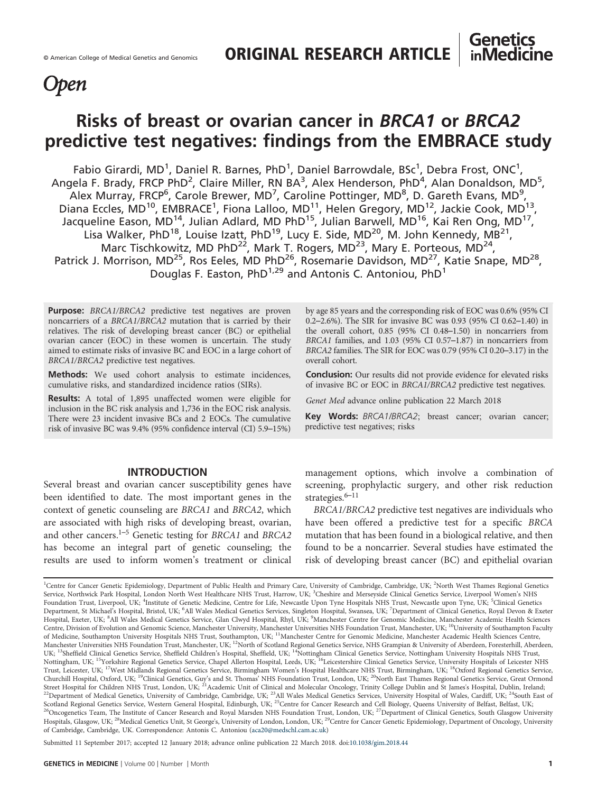# **Open**

# Risks of breast or ovarian cancer in BRCA1 or BRCA2 predictive test negatives: findings from the EMBRACE study

Fabio Girardi, MD<sup>1</sup>, Daniel R. Barnes, PhD<sup>1</sup>, Daniel Barrowdale, BSc<sup>1</sup>, Debra Frost, ONC<sup>1</sup>, Angela F. Brady, FRCP PhD<sup>2</sup>, Claire Miller, RN BA<sup>3</sup>, Alex Henderson, PhD<sup>4</sup>, Alan Donaldson, MD<sup>5</sup>,  $\overline{\mathsf{A}}$ lex Murray, FRCP<sup>6</sup>, Carole Brewer, MD<sup>7</sup>, Caroline Pottinger, MD<sup>8</sup>, D. Gareth Evans, MD<sup>9</sup>, Diana Eccles, MD<sup>10</sup>, EMBRACE<sup>1</sup>, Fiona Lalloo, MD<sup>11</sup>, Helen Gregory, MD<sup>12</sup>, Jackie Cook, MD<sup>13</sup>, Jacqueline Eason, MD14, Julian Adlard, MD PhD15, Julian Barwell, MD16, Kai Ren Ong, MD17, Lisa Walker, PhD<sup>18</sup>, Louise Izatt, PhD<sup>19</sup>, Lucy E. Side, MD<sup>20</sup>, M. John Kennedy, MB<sup>21</sup>, Marc Tischkowitz, MD PhD<sup>22</sup>, Mark T. Rogers, MD<sup>23</sup>, Mary E. Porteous, MD<sup>24</sup>, Patrick J. Morrison, MD<sup>25</sup>, Ros Eeles, MD PhD<sup>26</sup>, Rosemarie Davidson, MD<sup>27</sup>, Katie Snape, MD<sup>28</sup>, Douglas F. Easton, PhD<sup>1,29</sup> and Antonis C. Antoniou, PhD<sup>1</sup>

Purpose: BRCA1/BRCA2 predictive test negatives are proven noncarriers of a BRCA1/BRCA2 mutation that is carried by their relatives. The risk of developing breast cancer (BC) or epithelial ovarian cancer (EOC) in these women is uncertain. The study aimed to estimate risks of invasive BC and EOC in a large cohort of BRCA1/BRCA2 predictive test negatives.

Methods: We used cohort analysis to estimate incidences, cumulative risks, and standardized incidence ratios (SIRs).

Results: A total of 1,895 unaffected women were eligible for inclusion in the BC risk analysis and 1,736 in the EOC risk analysis. There were 23 incident invasive BCs and 2 EOCs. The cumulative risk of invasive BC was 9.4% (95% confidence interval (CI) 5.9–15%)

#### INTRODUCTION

Several breast and ovarian cancer susceptibility genes have been identified to date. The most important genes in the context of genetic counseling are BRCA1 and BRCA2, which are associated with high risks of developing breast, ovarian, and other cancers.<sup>1[–](#page-6-0)5</sup> Genetic testing for BRCA1 and BRCA2 has become an integral part of genetic counseling; the results are used to inform women's treatment or clinical

by age 85 years and the corresponding risk of EOC was 0.6% (95% CI 0.2–2.6%). The SIR for invasive BC was 0.93 (95% CI 0.62–1.40) in the overall cohort, 0.85 (95% CI 0.48–1.50) in noncarriers from BRCA1 families, and 1.03 (95% CI 0.57–1.87) in noncarriers from BRCA2 families. The SIR for EOC was 0.79 (95% CI 0.20–3.17) in the overall cohort.

**Genetics inMedicine** 

Conclusion: Our results did not provide evidence for elevated risks of invasive BC or EOC in BRCA1/BRCA2 predictive test negatives.

Genet Med advance online publication 22 March 2018

Key Words: BRCA1/BRCA2; breast cancer; ovarian cancer; predictive test negatives; risks

management options, which involve a combination of screening, prophylactic surgery, and other risk reduction strategies.<sup>6–[11](#page-6-0)</sup>

BRCA1/BRCA2 predictive test negatives are individuals who have been offered a predictive test for a specific BRCA mutation that has been found in a biological relative, and then found to be a noncarrier. Several studies have estimated the risk of developing breast cancer (BC) and epithelial ovarian

<sup>1</sup>Centre for Cancer Genetic Epidemiology, Department of Public Health and Primary Care, University of Cambridge, Cambridge, UK; <sup>2</sup>North West Thames Regional Genetics Service, Northwick Park Hospital, London North West Healthcare NHS Trust, Harrow, UK; <sup>3</sup>Cheshire and Merseyside Clinical Genetics Service, Liverpool Women's NHS Foundation Trust, Liverpool, UK; <sup>4</sup>Institute of Genetic Medicine, Centre for Life, Newcastle Upon Tyne Hospitals NHS Trust, Newcastle upon Tyne, UK; <sup>5</sup>Clinical Genetics Department, St Michael's Hospital, Bristol, UK; <sup>6</sup>All Wales Medical Genetics Services, Singleton Hospital, Swansea, UK; <sup>7</sup>Department of Clinical Genetics, Royal Devon & Exeter Hospital, Exeter, UK; <sup>8</sup>All Wales Medical Genetics Service, Glan Clwyd Hospital, Rhyl, UK; <sup>9</sup>Manchester Centre for Genomic Medicine, Manchester Academic Health Sciences Centre, Division of Evolution and Genomic Science, Manchester University, Manchester Universities NHS Foundation Trust, Manchester, UK; 10University of Southampton Faculty of Medicine, Southampton University Hospitals NHS Trust, Southampton, UK; <sup>11</sup>Manchester Centre for Genomic Medicine, Manchester Academic Health Sciences Centre, Manchester Universities NHS Foundation Trust, Manchester, UK;<sup>12</sup>North of Scotland Regional Genetics Service, NHS Grampian & University of Aberdeen, Foresterhill, Aberdeen, UK; <sup>13</sup>Sheffield Clinical Genetics Service, Sheffield Children's Hospital, Sheffield, UK; <sup>14</sup>Nottingham Clinical Genetics Service, Nottingham University Hospitals NHS Trust, Nottingham, UK; <sup>15</sup>Yorkshire Regional Genetics Service, Chapel Allerton Hospital, Leeds, UK; <sup>16</sup>Leicestershire Clinical Genetics Service, University Hospitals of Leicester NHS Trust, Leicester, UK; 17West Midlands Regional Genetics Service, Birmingham Women's Hospital Healthcare NHS Trust, Birmingham, UK; 18Oxford Regional Genetics Service, Churchill Hospital, Oxford, UK; <sup>19</sup>Clinical Genetics, Guy's and St. Thomas' NHS Foundation Trust, London, UK; <sup>20</sup>North East Thames Regional Genetics Service, Great Ormond Street Hospital for Children NHS Trust, London, U <sup>22</sup>Department of Medical Genetics, University of Cambridge, Cambridge, UK; <sup>23</sup>All Wales Medical Genetics Services, University Hospital of Wales, Cardiff, UK; <sup>24</sup>South East of Explanation Trust, Collar Depited Service, Western General Hospital, Edinburgh, UK; <sup>25</sup>Centre for Cancer Research and Cell Biology, Queens University of Belfast, Belfast, UK; <sup>26</sup>Centre for Cancer Research and Cell Biolog Hospitals, Glasgow, UK;<sup>28</sup>Medical Genetics Unit, St George's, University of London, London, UK;<sup>29</sup>Centre for Cancer Genetic Epidemiology, Department of Oncology, University of Cambridge, Cambridge, UK. Correspondence: Antonis C. Antoniou [\(aca20@medschl.cam.ac.uk\)](mailto:aca20@medschl.cam.ac.uk)

Submitted 11 September 2017; accepted 12 January 2018; advance online publication 22 March 2018. doi:[10.1038/gim.2018.44](http://dx.doi.org/10.1038/gim.2018.44)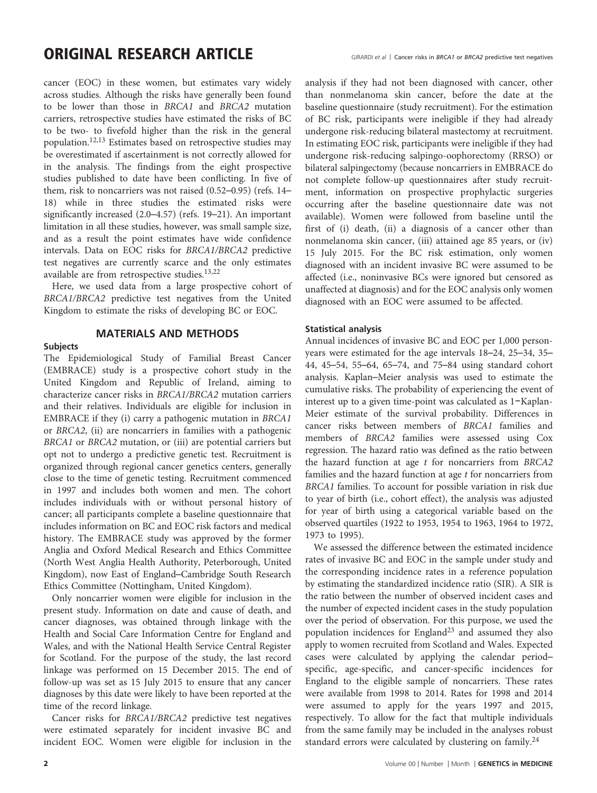### ORIGINAL RESEARCH ARTICLE<br>GIRARDI et al | Cancer risks in BRCA1 or BRCA2 predictive test negatives

cancer (EOC) in these women, but estimates vary widely across studies. Although the risks have generally been found to be lower than those in BRCA1 and BRCA2 mutation carriers, retrospective studies have estimated the risks of BC to be two- to fivefold higher than the risk in the general population.[12,13](#page-6-0) Estimates based on retrospective studies may be overestimated if ascertainment is not correctly allowed for in the analysis. The findings from the eight prospective studies published to date have been conflicting. In five of them, risk to noncarriers was not raised (0.52–0.95) (refs. [14](#page-6-0)– [18](#page-6-0)) while in three studies the estimated risks were significantly increased (2.0–4.57) (refs. [19](#page-6-0)–21). An important limitation in all these studies, however, was small sample size, and as a result the point estimates have wide confidence intervals. Data on EOC risks for BRCA1/BRCA2 predictive test negatives are currently scarce and the only estimates available are from retrospective studies.[13,22](#page-6-0)

Here, we used data from a large prospective cohort of BRCA1/BRCA2 predictive test negatives from the United Kingdom to estimate the risks of developing BC or EOC.

#### MATERIALS AND METHODS

#### **Subjects**

The Epidemiological Study of Familial Breast Cancer (EMBRACE) study is a prospective cohort study in the United Kingdom and Republic of Ireland, aiming to characterize cancer risks in BRCA1/BRCA2 mutation carriers and their relatives. Individuals are eligible for inclusion in EMBRACE if they (i) carry a pathogenic mutation in BRCA1 or BRCA2, (ii) are noncarriers in families with a pathogenic BRCA1 or BRCA2 mutation, or (iii) are potential carriers but opt not to undergo a predictive genetic test. Recruitment is organized through regional cancer genetics centers, generally close to the time of genetic testing. Recruitment commenced in 1997 and includes both women and men. The cohort includes individuals with or without personal history of cancer; all participants complete a baseline questionnaire that includes information on BC and EOC risk factors and medical history. The EMBRACE study was approved by the former Anglia and Oxford Medical Research and Ethics Committee (North West Anglia Health Authority, Peterborough, United Kingdom), now East of England–Cambridge South Research Ethics Committee (Nottingham, United Kingdom).

Only noncarrier women were eligible for inclusion in the present study. Information on date and cause of death, and cancer diagnoses, was obtained through linkage with the Health and Social Care Information Centre for England and Wales, and with the National Health Service Central Register for Scotland. For the purpose of the study, the last record linkage was performed on 15 December 2015. The end of follow-up was set as 15 July 2015 to ensure that any cancer diagnoses by this date were likely to have been reported at the time of the record linkage.

Cancer risks for BRCA1/BRCA2 predictive test negatives were estimated separately for incident invasive BC and incident EOC. Women were eligible for inclusion in the analysis if they had not been diagnosed with cancer, other than nonmelanoma skin cancer, before the date at the baseline questionnaire (study recruitment). For the estimation of BC risk, participants were ineligible if they had already undergone risk-reducing bilateral mastectomy at recruitment. In estimating EOC risk, participants were ineligible if they had undergone risk-reducing salpingo-oophorectomy (RRSO) or bilateral salpingectomy (because noncarriers in EMBRACE do not complete follow-up questionnaires after study recruitment, information on prospective prophylactic surgeries occurring after the baseline questionnaire date was not available). Women were followed from baseline until the first of (i) death, (ii) a diagnosis of a cancer other than nonmelanoma skin cancer, (iii) attained age 85 years, or (iv) 15 July 2015. For the BC risk estimation, only women diagnosed with an incident invasive BC were assumed to be affected (i.e., noninvasive BCs were ignored but censored as unaffected at diagnosis) and for the EOC analysis only women diagnosed with an EOC were assumed to be affected.

#### Statistical analysis

Annual incidences of invasive BC and EOC per 1,000 personyears were estimated for the age intervals 18–24, 25–34, 35– 44, 45–54, 55–64, 65–74, and 75–84 using standard cohort analysis. Kaplan–Meier analysis was used to estimate the cumulative risks. The probability of experiencing the event of interest up to a given time-point was calculated as 1−Kaplan-Meier estimate of the survival probability. Differences in cancer risks between members of BRCA1 families and members of BRCA2 families were assessed using Cox regression. The hazard ratio was defined as the ratio between the hazard function at age  $t$  for noncarriers from  $BRCA2$ families and the hazard function at age  $t$  for noncarriers from BRCA1 families. To account for possible variation in risk due to year of birth (i.e., cohort effect), the analysis was adjusted for year of birth using a categorical variable based on the observed quartiles (1922 to 1953, 1954 to 1963, 1964 to 1972, 1973 to 1995).

We assessed the difference between the estimated incidence rates of invasive BC and EOC in the sample under study and the corresponding incidence rates in a reference population by estimating the standardized incidence ratio (SIR). A SIR is the ratio between the number of observed incident cases and the number of expected incident cases in the study population over the period of observation. For this purpose, we used the population incidences for England<sup>[23](#page-6-0)</sup> and assumed they also apply to women recruited from Scotland and Wales. Expected cases were calculated by applying the calendar period– specific, age-specific, and cancer-specific incidences for England to the eligible sample of noncarriers. These rates were available from 1998 to 2014. Rates for 1998 and 2014 were assumed to apply for the years 1997 and 2015, respectively. To allow for the fact that multiple individuals from the same family may be included in the analyses robust standard errors were calculated by clustering on family.<sup>[24](#page-6-0)</sup>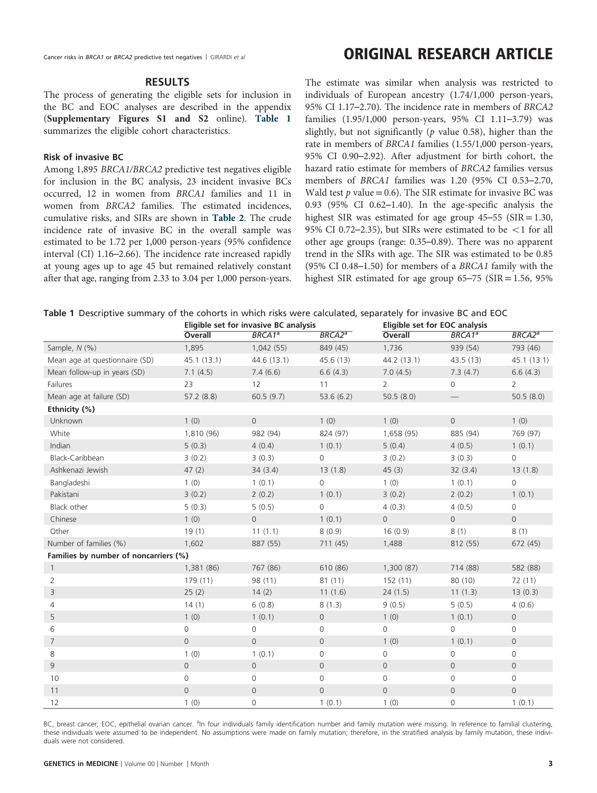#### RESULTS

The process of generating the eligible sets for inclusion in the BC and EOC analyses are described in the appendix (Supplementary Figures S1 and S2 online). Table 1 summarizes the eligible cohort characteristics.

#### Risk of invasive BC

Among 1,895 BRCA1/BRCA2 predictive test negatives eligible for inclusion in the BC analysis, 23 incident invasive BCs occurred, 12 in women from BRCA1 families and 11 in women from BRCA2 families. The estimated incidences, cumulative risks, and SIRs are shown in [Table 2](#page-3-0). The crude incidence rate of invasive BC in the overall sample was estimated to be 1.72 per 1,000 person-years (95% confidence interval (CI) 1.16–2.66). The incidence rate increased rapidly at young ages up to age 45 but remained relatively constant after that age, ranging from 2.33 to 3.04 per 1,000 person-years. The estimate was similar when analysis was restricted to individuals of European ancestry (1.74/1,000 person-years, 95% CI 1.17–2.70). The incidence rate in members of BRCA2 families (1.95/1,000 person-years, 95% CI 1.11–3.79) was slightly, but not significantly ( $p$  value 0.58), higher than the rate in members of BRCA1 families (1.55/1,000 person-years, 95% CI 0.90–2.92). After adjustment for birth cohort, the hazard ratio estimate for members of BRCA2 families versus members of BRCA1 families was 1.20 (95% CI 0.53–2.70, Wald test  $p$  value = 0.6). The SIR estimate for invasive BC was 0.93 (95% CI 0.62–1.40). In the age-specific analysis the highest SIR was estimated for age group  $45-55$  (SIR = 1.30, 95% CI 0.72–2.35), but SIRs were estimated to be  $\lt 1$  for all other age groups (range: 0.35–0.89). There was no apparent trend in the SIRs with age. The SIR was estimated to be 0.85 (95% CI 0.48–1.50) for members of a BRCA1 family with the highest SIR estimated for age group  $65-75$  (SIR = 1.56, 95%)

|  | Table 1 Descriptive summary of the cohorts in which risks were calculated, separately for invasive BC and EOC |  |  |  |  |  |
|--|---------------------------------------------------------------------------------------------------------------|--|--|--|--|--|
|--|---------------------------------------------------------------------------------------------------------------|--|--|--|--|--|

|                                       |                | Eligible set for invasive BC analysis |                |                     | Eligible set for EOC analysis |                    |
|---------------------------------------|----------------|---------------------------------------|----------------|---------------------|-------------------------------|--------------------|
|                                       | Overall        | BRCA1 <sup>a</sup>                    | $BRCA2^a$      | Overall             | $BRCA1^a$                     | BRCA2 <sup>a</sup> |
| Sample, N (%)                         | 1,895          | 1,042 (55)                            | 849 (45)       | 1,736               | 939 (54)                      | 793 (46)           |
| Mean age at questionnaire (SD)        | 45.1(13.1)     | 44.6 (13.1)                           | 45.6 (13)      | 44.2 (13.1)         | 43.5(13)                      | 45.1(13.1)         |
| Mean follow-up in years (SD)          | 7.1(4.5)       | 7.4(6.6)                              | 6.6(4.3)       | 7.0(4.5)            | 7.3(4.7)                      | 6.6(4.3)           |
| <b>Failures</b>                       | 23             | 12                                    | 11             | $\overline{2}$      | 0                             | $\overline{2}$     |
| Mean age at failure (SD)              | 57.2(8.8)      | 60.5(9.7)                             | 53.6(6.2)      | 50.5(8.0)           |                               | 50.5(8.0)          |
| Ethnicity (%)                         |                |                                       |                |                     |                               |                    |
| Unknown                               | 1(0)           | $\overline{O}$                        | 1(0)           | 1(0)                | $\overline{0}$                | 1(0)               |
| White                                 | 1,810 (96)     | 982 (94)                              | 824 (97)       | 1,658 (95)          | 885 (94)                      | 769 (97)           |
| Indian                                | 5(0.3)         | 4(0.4)                                | 1(0.1)         | 5(0.4)              | 4(0.5)                        | 1(0.1)             |
| Black-Caribbean                       | 3(0.2)         | 3(0.3)                                | $\Omega$       | 3(0.2)              | 3(0.3)                        | 0                  |
| Ashkenazi Jewish                      | 47(2)          | 34(3.4)                               | 13(1.8)        | 45(3)               | 32(3.4)                       | 13(1.8)            |
| Bangladeshi                           | 1(0)           | 1(0.1)                                | $\mathbf 0$    | 1(0)                | 1(0.1)                        | $\overline{0}$     |
| Pakistani                             | 3(0.2)         | 2(0.2)                                | 1(0.1)         | 3(0.2)              | 2(0.2)                        | 1(0.1)             |
| Black other                           | 5(0.3)         | 5(0.5)                                | $\circ$        | 4(0.3)              | 4(0.5)                        | $\overline{0}$     |
| Chinese                               | 1(0)           | $\overline{0}$                        | 1(0.1)         | $\overline{0}$      | $\overline{0}$                | $\Omega$           |
| Other                                 | 19(1)          | 11(1.1)                               | 8(0.9)         | 16(0.9)             | 8(1)                          | 8(1)               |
| Number of families (%)                | 1,602          | 887 (55)                              | 711 (45)       | 1,488               | 812 (55)                      | 672 (45)           |
| Families by number of noncarriers (%) |                |                                       |                |                     |                               |                    |
| $\mathbf{1}$                          | 1,381 (86)     | 767 (86)                              | 610 (86)       | 1,300 (87)          | 714 (88)                      | 582 (88)           |
| 2                                     | 179 (11)       | 98 (11)                               | 81(11)         | 152(11)             | 80 (10)                       | 72 (11)            |
| 3                                     | 25(2)          | 14(2)                                 | 11(1.6)        | 24(1.5)             | 11(1.3)                       | 13(0.3)            |
| $\overline{4}$                        | 14(1)          | 6(0.8)                                | 8(1.3)         | 9(0.5)              | 5(0.5)                        | 4(0.6)             |
| 5                                     | 1(0)           | 1(0.1)                                | $\mathbf{0}$   | 1(0)                | 1(0.1)                        | 0                  |
| 6                                     | $\mathbf 0$    | 0                                     | 0              | 0                   | 0                             | 0                  |
| $\overline{7}$                        | $\overline{O}$ | $\overline{O}$                        | $\mathbf{0}$   | 1(0)                | 1(0.1)                        | $\overline{0}$     |
| 8                                     | 1(0)           | 1(0.1)                                | $\mathbf{O}$   | 0                   | 0                             | $\mathbf 0$        |
| 9                                     | $\overline{0}$ | $\overline{0}$                        | $\mathbf{0}$   | $\overline{O}$      | $\overline{0}$                | $\Omega$           |
| 10                                    | $\mathbf 0$    | $\circ$                               | $\mathbf{0}$   | 0                   | 0                             | $\mathbf 0$        |
| 11                                    | $\overline{0}$ | $\overline{O}$                        | $\overline{0}$ | $\mathsf{O}\xspace$ | $\mathsf{O}\xspace$           | $\overline{O}$     |
| 12                                    | 1(0)           | 0                                     | 1(0.1)         | 1(0)                | 0                             | 1(0.1)             |

BC, breast cancer; EOC, epithelial ovarian cancer. <sup>a</sup>ln four individuals family identification number and family mutation were missing. In reference to familial clustering, these individuals were assumed to be independent. No assumptions were made on family mutation; therefore, in the stratified analysis by family mutation, these individuals were not considered.

### Cancer risks in BRCA1 or BRCA2 predictive test negatives | GIRARDI et al **ORIGINAL RESEARCH ARTICLE**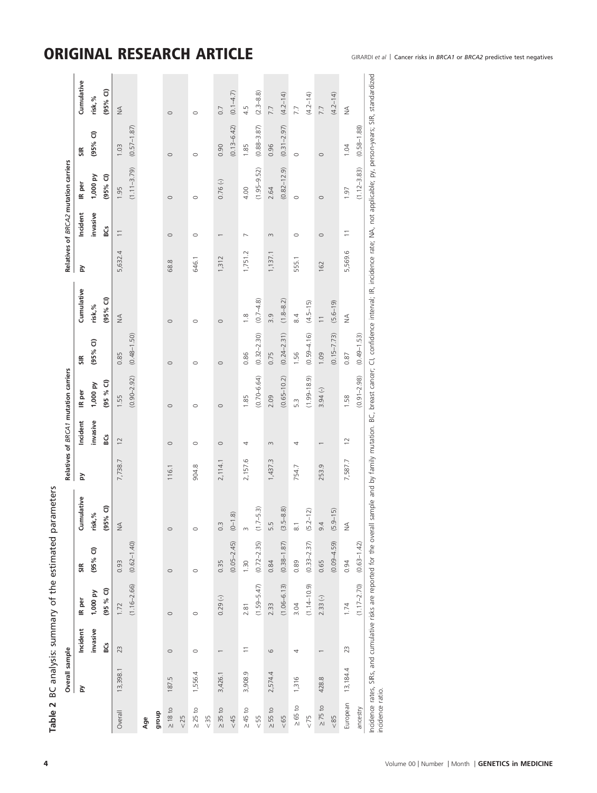# <span id="page-3-0"></span>ORIGINAL RESEARCH ARTICLE GIRARDI et al | Cancer risks in BRCA1 or BRCA2 predictive test negatives

|                  | Overall sample |          |                 |                 |                                                                                                                                                                                                                                |         |                | Relatives of BRCA1 mutation carriers |                 |                          |         |                          | Relatives of BRCA2 mutation carriers |                 |               |
|------------------|----------------|----------|-----------------|-----------------|--------------------------------------------------------------------------------------------------------------------------------------------------------------------------------------------------------------------------------|---------|----------------|--------------------------------------|-----------------|--------------------------|---------|--------------------------|--------------------------------------|-----------------|---------------|
|                  | Σq             | Incident | IR per          | SIR             | Cumulative                                                                                                                                                                                                                     | č       | Incident       | IR per                               | SIR             | Cumulative               | Σ       | Incident                 | IR per                               | SIR             | Cumulative    |
|                  |                | invasive | 1,000 py        | $(95%$ CI)      | $\%$<br>risk,                                                                                                                                                                                                                  |         | invasive       | 1,000 py                             | $(95%$ CI)      | risk,%                   |         | invasive                 | 1,000 py                             | $(95%$ CI)      | risk,%        |
|                  |                | ន្ធ      | (95 % G)        |                 | $(95%$ CI)                                                                                                                                                                                                                     |         | ន្ត្រ          | (95 % G)                             |                 | $(95%$ CI)               |         | g<br>SG                  | $(95%$ CI)                           |                 | $(95%$ CI)    |
| Overall          | 13,398.1       | 23       | 1.72            | 0.93            | $\leq$                                                                                                                                                                                                                         | 7,738.7 | $\overline{c}$ | 1.55                                 | 0.85            | $\lessgtr$               | 5,632.4 | $\overline{\phantom{0}}$ | 1.95                                 | 1.03            | $\frac{4}{2}$ |
|                  |                |          | $(1.16 - 2.66)$ | $(0.62 - 1.40)$ |                                                                                                                                                                                                                                |         |                | $(0.90 - 2.92)$                      | $(0.48 - 1.50)$ |                          |         |                          | $(1.11 - 3.79)$                      | $(0.57 - 1.87)$ |               |
| Age              |                |          |                 |                 |                                                                                                                                                                                                                                |         |                |                                      |                 |                          |         |                          |                                      |                 |               |
| dhoub            |                |          |                 |                 |                                                                                                                                                                                                                                |         |                |                                      |                 |                          |         |                          |                                      |                 |               |
| $\geq 18$ to     | 187.5          | $\circ$  | $\circ$         | $\circ$         | $\circ$                                                                                                                                                                                                                        | 116.1   | $\circ$        | $\circ$                              | $\circ$         | $\circ$                  | 68.8    | $\circ$                  | $\circ$                              | $\circ$         | $\circ$       |
| 25               |                |          |                 |                 |                                                                                                                                                                                                                                |         |                |                                      |                 |                          |         |                          |                                      |                 |               |
| $\geq$ 25 to     | 1,556.4        | $\circ$  | $\circ$         | $\circ$         | $\circ$                                                                                                                                                                                                                        | 904.8   | $\circ$        | $\circ$                              | $\circ$         | $\circ$                  | 646.1   | $\circ$                  | $\circ$                              | $\circ$         | $\circ$       |
| & 35             |                |          |                 |                 |                                                                                                                                                                                                                                |         |                |                                      |                 |                          |         |                          |                                      |                 |               |
| $\geq 35$ to     | 3,426.1        |          | $0.29(-)$       | 0.35            | $0.\overline{3}$                                                                                                                                                                                                               | 2,114.1 | $\circ$        | $\circ$                              | $\circ$         | $\circ$                  | 1,312   |                          | 0.76()                               | 0.90            | 0.7           |
| &5               |                |          |                 | $(0.05 - 2.45)$ | $\widehat{\infty}$<br>$(-0)$                                                                                                                                                                                                   |         |                |                                      |                 |                          |         |                          |                                      | $(0.13 - 6.42)$ | $(0.1 - 4.7)$ |
| $\geq 45$ to     | 3,908.9        |          | 2.81            | 1.30            | m                                                                                                                                                                                                                              | 2,157.6 | 4              | 1.85                                 | 0.86            | $\frac{8}{1}$            | 1,751.2 | $\overline{\phantom{0}}$ | 4.00                                 | 1.85            | 4.5           |
| 55               |                |          | $(1.59 - 5.47)$ | $(0.72 - 2.35)$ | (5.3)<br>$(1.7 -$                                                                                                                                                                                                              |         |                | $(0.70 - 6.64)$                      | $(0.32 - 2.30)$ | $(0.7 - 4.8)$            |         |                          | $(1.95 - 9.52)$                      | $(0.88 - 3.87)$ | $(2.3 - 8.8)$ |
| $\geq$ 55 to     | 2,574.4        | 6        | 2.33            | 0.84            | 5.5                                                                                                                                                                                                                            | 1,437.3 | $\infty$       | 2.09                                 | 0.75            | 3.9                      | 1,137.1 | $\infty$                 | 2.64                                 | 0.96            | 7.7           |
| &05              |                |          | $(1.06 - 6.13)$ | $(0.38 - 1.87)$ | $-8.8$<br>$(3.5 -$                                                                                                                                                                                                             |         |                | $(0.65 - 10.2)$                      | $(0.24 - 2.31)$ | $(1.8 - 8.2)$            |         |                          | $(0.82 - 12.9)$                      | $(0.31 - 2.97)$ | $(4.2 - 14)$  |
| $\geq 65$ to     | 1,316          | 4        | 3.04            | 0.89            | $\overline{\circ}$                                                                                                                                                                                                             | 754.7   | 4              | 5.3                                  | 1.56            | 8.4                      | 555.1   | $\circ$                  | $\circ$                              | $\circ$         | 7.7           |
| 522              |                |          | $(1.14 - 10.9)$ | $(0.33 - 2.37)$ | $(5.2 - 12)$                                                                                                                                                                                                                   |         |                | $(1.99 - 18.9)$                      | $(0.59 - 4.16)$ | $(4.5 - 15)$             |         |                          |                                      |                 | $(4.2 - 14)$  |
| $\geq 75$ to     | 428.8          |          | $2.33(-)$       | 0.65            | 9.4                                                                                                                                                                                                                            | 253.9   |                | $3.94(-)$                            | 1.09            | $\overline{\phantom{0}}$ | 162     | $\circ$                  | $\circ$                              | $\circ$         | 7.7           |
| &85              |                |          |                 | $(0.09 - 4.59)$ | $(5.9 - 15)$                                                                                                                                                                                                                   |         |                |                                      | $(0.15 - 7.73)$ | $(5.6 - 19)$             |         |                          |                                      |                 | $(4.2 - 14)$  |
| European         | 13,184.4       | 23       | 1.74            | 0.94            | $\frac{4}{2}$                                                                                                                                                                                                                  | 7,587.7 | $\overline{C}$ | 1.58                                 | 0.87            | $\frac{1}{2}$            | 5,569.6 | $\overline{1}$           | 1.97                                 | 1.04            | $\frac{1}{2}$ |
| ancestry         |                |          | $(1.17 - 2.70)$ | $(0.63 - 1.42)$ |                                                                                                                                                                                                                                |         |                | $(0.91 - 2.98)$                      | $(0.49 - 1.53)$ |                          |         |                          | $(1.12 - 3.83)$                      | $(0.58 - 1.88)$ |               |
| incidence ratio. |                |          |                 |                 | Incidence rates, SIRs, and cumulative risks are reported for the overall sample and by family mutation. BC, breast cancer; CI, confidence interval; IR, incidence rate; NA, not applicable; py, person-years; SIR, standardize |         |                |                                      |                 |                          |         |                          |                                      |                 |               |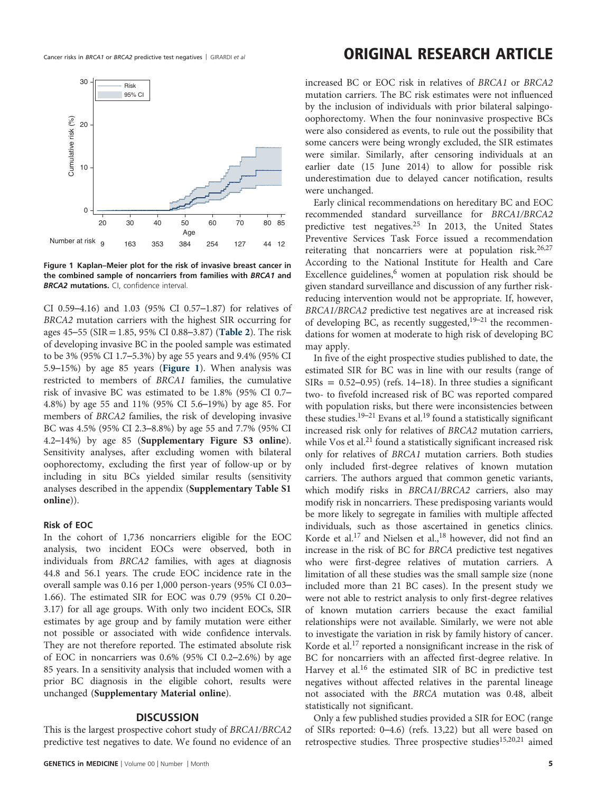

Figure 1 Kaplan–Meier plot for the risk of invasive breast cancer in the combined sample of noncarriers from families with BRCA1 and **BRCA2 mutations.** CI, confidence interval.

CI 0.59–4.16) and 1.03 (95% CI 0.57–1.87) for relatives of BRCA2 mutation carriers with the highest SIR occurring for ages 45–55 (SIR = 1.85, 95% CI 0.88–3.87) ([Table 2](#page-3-0)). The risk of developing invasive BC in the pooled sample was estimated to be 3% (95% CI 1.7–5.3%) by age 55 years and 9.4% (95% CI 5.9–15%) by age 85 years (Figure 1). When analysis was restricted to members of BRCA1 families, the cumulative risk of invasive BC was estimated to be 1.8% (95% CI 0.7– 4.8%) by age 55 and 11% (95% CI 5.6–19%) by age 85. For members of BRCA2 families, the risk of developing invasive BC was 4.5% (95% CI 2.3–8.8%) by age 55 and 7.7% (95% CI 4.2–14%) by age 85 (Supplementary Figure S3 online). Sensitivity analyses, after excluding women with bilateral oophorectomy, excluding the first year of follow-up or by including in situ BCs yielded similar results (sensitivity analyses described in the appendix (Supplementary Table S1 online)).

#### Risk of EOC

In the cohort of 1,736 noncarriers eligible for the EOC analysis, two incident EOCs were observed, both in individuals from BRCA2 families, with ages at diagnosis 44.8 and 56.1 years. The crude EOC incidence rate in the overall sample was 0.16 per 1,000 person-years (95% CI 0.03– 1.66). The estimated SIR for EOC was 0.79 (95% CI 0.20– 3.17) for all age groups. With only two incident EOCs, SIR estimates by age group and by family mutation were either not possible or associated with wide confidence intervals. They are not therefore reported. The estimated absolute risk of EOC in noncarriers was 0.6% (95% CI 0.2–2.6%) by age 85 years. In a sensitivity analysis that included women with a prior BC diagnosis in the eligible cohort, results were unchanged (Supplementary Material online).

#### **DISCUSSION**

This is the largest prospective cohort study of BRCA1/BRCA2 predictive test negatives to date. We found no evidence of an

### Cancer risks in BRCA1 or BRCA2 predictive test negatives | GIRARDI et al **ORIGINAL RESEARCH ARTICLE**

increased BC or EOC risk in relatives of BRCA1 or BRCA2 mutation carriers. The BC risk estimates were not influenced by the inclusion of individuals with prior bilateral salpingooophorectomy. When the four noninvasive prospective BCs were also considered as events, to rule out the possibility that some cancers were being wrongly excluded, the SIR estimates were similar. Similarly, after censoring individuals at an earlier date (15 June 2014) to allow for possible risk underestimation due to delayed cancer notification, results were unchanged.

Early clinical recommendations on hereditary BC and EOC recommended standard surveillance for BRCA1/BRCA2 predictive test negatives.[25](#page-6-0) In 2013, the United States Preventive Services Task Force issued a recommendation reiterating that noncarriers were at population risk.<sup>[26](#page-6-0)[,27](#page-7-0)</sup> According to the National Institute for Health and Care Excellence guidelines, $6 \text{ women}$  $6 \text{ women}$  at population risk should be given standard surveillance and discussion of any further riskreducing intervention would not be appropriate. If, however, BRCA1/BRCA2 predictive test negatives are at increased risk of developing BC, as recently suggested,[19](#page-6-0)–<sup>21</sup> the recommendations for women at moderate to high risk of developing BC may apply.

In five of the eight prospective studies published to date, the estimated SIR for BC was in line with our results (range of SIRs =  $0.52-0.95$ ) (refs. 14-[18\)](#page-6-0). In three studies a significant two- to fivefold increased risk of BC was reported compared with population risks, but there were inconsistencies between these studies.<sup>19–[21](#page-6-0)</sup> Evans et al.<sup>[19](#page-6-0)</sup> found a statistically significant increased risk only for relatives of BRCA2 mutation carriers, while Vos et al.<sup>[21](#page-6-0)</sup> found a statistically significant increased risk only for relatives of BRCA1 mutation carriers. Both studies only included first-degree relatives of known mutation carriers. The authors argued that common genetic variants, which modify risks in BRCA1/BRCA2 carriers, also may modify risk in noncarriers. These predisposing variants would be more likely to segregate in families with multiple affected individuals, such as those ascertained in genetics clinics. Korde et al.<sup>[17](#page-6-0)</sup> and Nielsen et al.,<sup>[18](#page-6-0)</sup> however, did not find an increase in the risk of BC for BRCA predictive test negatives who were first-degree relatives of mutation carriers. A limitation of all these studies was the small sample size (none included more than 21 BC cases). In the present study we were not able to restrict analysis to only first-degree relatives of known mutation carriers because the exact familial relationships were not available. Similarly, we were not able to investigate the variation in risk by family history of cancer. Korde et al.[17](#page-6-0) reported a nonsignificant increase in the risk of BC for noncarriers with an affected first-degree relative. In Harvey et al.<sup>[16](#page-6-0)</sup> the estimated SIR of BC in predictive test negatives without affected relatives in the parental lineage not associated with the BRCA mutation was 0.48, albeit statistically not significant.

Only a few published studies provided a SIR for EOC (range of SIRs reported: 0–4.6) (refs. [13,22](#page-6-0)) but all were based on retrospective studies. Three prospective studies<sup>[15,20](#page-6-0),[21](#page-6-0)</sup> aimed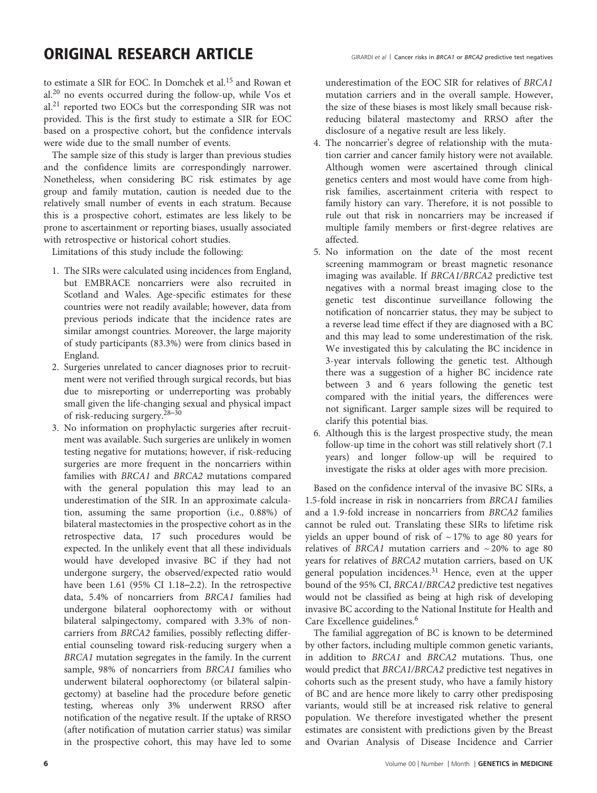### ORIGINAL RESEARCH ARTICLE

to estimate a SIR for EOC. In Domchek et al.[15](#page-6-0) and Rowan et al.[20](#page-6-0) no events occurred during the follow-up, while Vos et al.[21](#page-6-0) reported two EOCs but the corresponding SIR was not provided. This is the first study to estimate a SIR for EOC based on a prospective cohort, but the confidence intervals were wide due to the small number of events.

The sample size of this study is larger than previous studies and the confidence limits are correspondingly narrower. Nonetheless, when considering BC risk estimates by age group and family mutation, caution is needed due to the relatively small number of events in each stratum. Because this is a prospective cohort, estimates are less likely to be prone to ascertainment or reporting biases, usually associated with retrospective or historical cohort studies.

Limitations of this study include the following:

- 1. The SIRs were calculated using incidences from England, but EMBRACE noncarriers were also recruited in Scotland and Wales. Age-specific estimates for these countries were not readily available; however, data from previous periods indicate that the incidence rates are similar amongst countries. Moreover, the large majority of study participants (83.3%) were from clinics based in England.
- 2. Surgeries unrelated to cancer diagnoses prior to recruitment were not verified through surgical records, but bias due to misreporting or underreporting was probably small given the life-changing sexual and physical impact of risk-reducing surgery.[28](#page-7-0)–<sup>30</sup>
- 3. No information on prophylactic surgeries after recruitment was available. Such surgeries are unlikely in women testing negative for mutations; however, if risk-reducing surgeries are more frequent in the noncarriers within families with BRCA1 and BRCA2 mutations compared with the general population this may lead to an underestimation of the SIR. In an approximate calculation, assuming the same proportion (i.e., 0.88%) of bilateral mastectomies in the prospective cohort as in the retrospective data, 17 such procedures would be expected. In the unlikely event that all these individuals would have developed invasive BC if they had not undergone surgery, the observed/expected ratio would have been 1.61 (95% CI 1.18–2.2). In the retrospective data, 5.4% of noncarriers from BRCA1 families had undergone bilateral oophorectomy with or without bilateral salpingectomy, compared with 3.3% of noncarriers from BRCA2 families, possibly reflecting differential counseling toward risk-reducing surgery when a BRCA1 mutation segregates in the family. In the current sample, 98% of noncarriers from BRCA1 families who underwent bilateral oophorectomy (or bilateral salpingectomy) at baseline had the procedure before genetic testing, whereas only 3% underwent RRSO after notification of the negative result. If the uptake of RRSO (after notification of mutation carrier status) was similar in the prospective cohort, this may have led to some

underestimation of the EOC SIR for relatives of BRCA1 mutation carriers and in the overall sample. However, the size of these biases is most likely small because riskreducing bilateral mastectomy and RRSO after the disclosure of a negative result are less likely.

- 4. The noncarrier's degree of relationship with the mutation carrier and cancer family history were not available. Although women were ascertained through clinical genetics centers and most would have come from highrisk families, ascertainment criteria with respect to family history can vary. Therefore, it is not possible to rule out that risk in noncarriers may be increased if multiple family members or first-degree relatives are affected.
- 5. No information on the date of the most recent screening mammogram or breast magnetic resonance imaging was available. If BRCA1/BRCA2 predictive test negatives with a normal breast imaging close to the genetic test discontinue surveillance following the notification of noncarrier status, they may be subject to a reverse lead time effect if they are diagnosed with a BC and this may lead to some underestimation of the risk. We investigated this by calculating the BC incidence in 3-year intervals following the genetic test. Although there was a suggestion of a higher BC incidence rate between 3 and 6 years following the genetic test compared with the initial years, the differences were not significant. Larger sample sizes will be required to clarify this potential bias.
- 6. Although this is the largest prospective study, the mean follow-up time in the cohort was still relatively short (7.1 years) and longer follow-up will be required to investigate the risks at older ages with more precision.

Based on the confidence interval of the invasive BC SIRs, a 1.5-fold increase in risk in noncarriers from BRCA1 families and a 1.9-fold increase in noncarriers from BRCA2 families cannot be ruled out. Translating these SIRs to lifetime risk yields an upper bound of risk of  $\sim$  17% to age 80 years for relatives of BRCA1 mutation carriers and  $\sim$  20% to age 80 years for relatives of BRCA2 mutation carriers, based on UK general population incidences.<sup>[31](#page-7-0)</sup> Hence, even at the upper bound of the 95% CI, BRCA1/BRCA2 predictive test negatives would not be classified as being at high risk of developing invasive BC according to the National Institute for Health and Care Excellence guidelines.<sup>[6](#page-6-0)</sup>

The familial aggregation of BC is known to be determined by other factors, including multiple common genetic variants, in addition to BRCA1 and BRCA2 mutations. Thus, one would predict that BRCA1/BRCA2 predictive test negatives in cohorts such as the present study, who have a family history of BC and are hence more likely to carry other predisposing variants, would still be at increased risk relative to general population. We therefore investigated whether the present estimates are consistent with predictions given by the Breast and Ovarian Analysis of Disease Incidence and Carrier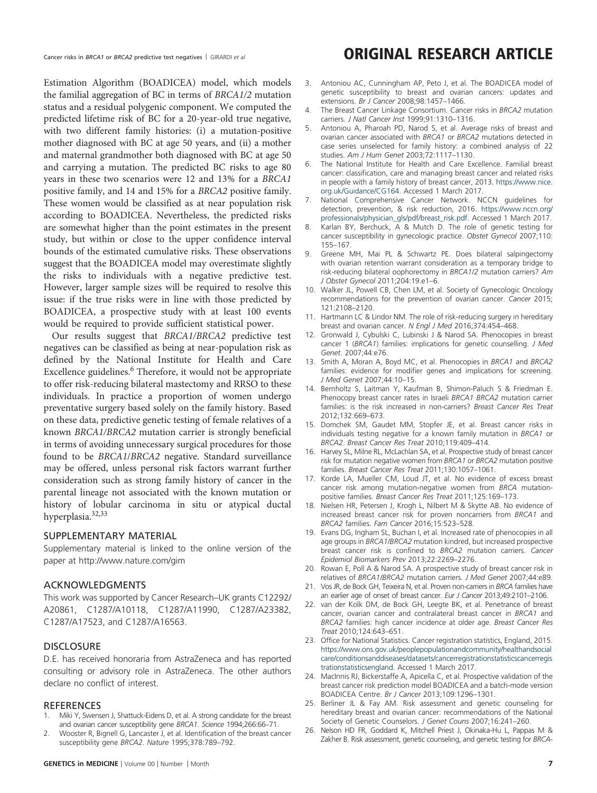Estimation Algorithm (BOADICEA) model, which models the familial aggregation of BC in terms of BRCA1/2 mutation status and a residual polygenic component. We computed the predicted lifetime risk of BC for a 20-year-old true negative, with two different family histories: (i) a mutation-positive mother diagnosed with BC at age 50 years, and (ii) a mother and maternal grandmother both diagnosed with BC at age 50 and carrying a mutation. The predicted BC risks to age 80 years in these two scenarios were 12 and 13% for a BRCA1 positive family, and 14 and 15% for a BRCA2 positive family. These women would be classified as at near population risk according to BOADICEA. Nevertheless, the predicted risks are somewhat higher than the point estimates in the present study, but within or close to the upper confidence interval bounds of the estimated cumulative risks. These observations suggest that the BOADICEA model may overestimate slightly the risks to individuals with a negative predictive test. However, larger sample sizes will be required to resolve this issue: if the true risks were in line with those predicted by BOADICEA, a prospective study with at least 100 events would be required to provide sufficient statistical power.

Our results suggest that BRCA1/BRCA2 predictive test negatives can be classified as being at near-population risk as defined by the National Institute for Health and Care Excellence guidelines.<sup>6</sup> Therefore, it would not be appropriate to offer risk-reducing bilateral mastectomy and RRSO to these individuals. In practice a proportion of women undergo preventative surgery based solely on the family history. Based on these data, predictive genetic testing of female relatives of a known BRCA1/BRCA2 mutation carrier is strongly beneficial in terms of avoiding unnecessary surgical procedures for those found to be BRCA1/BRCA2 negative. Standard surveillance may be offered, unless personal risk factors warrant further consideration such as strong family history of cancer in the parental lineage not associated with the known mutation or history of lobular carcinoma in situ or atypical ductal hyperplasia.[32,33](#page-7-0)

#### SUPPLEMENTARY MATERIAL

Supplementary material is linked to the online version of the paper at http://www.nature.com/gim

#### ACKNOWLEDGMENTS

This work was supported by Cancer Research–UK grants C12292/ A20861, C1287/A10118, C1287/A11990, C1287/A23382, C1287/A17523, and C1287/A16563.

#### **DISCLOSURE**

D.E. has received honoraria from AstraZeneca and has reported consulting or advisory role in AstraZeneca. The other authors declare no conflict of interest.

#### **REFERENCES**

- Miki Y, Swensen J, Shattuck-Eidens D, et al. A strong candidate for the breast and ovarian cancer susceptibility gene BRCA1. Science 1994;266:66–71.
- 2. Wooster R, Bignell G, Lancaster J, et al. Identification of the breast cancer susceptibility gene BRCA2. Nature 1995;378:789–792.

### <span id="page-6-0"></span>Cancer risks in BRCA1 or BRCA2 predictive test negatives | GIRARDI et al **ORIGINAL RESEARCH ARTICLE**

- 3. Antoniou AC, Cunningham AP, Peto J, et al. The BOADICEA model of genetic susceptibility to breast and ovarian cancers: updates and extensions. Br J Cancer 2008;98:1457–1466.
- 4. The Breast Cancer Linkage Consortium. Cancer risks in BRCA2 mutation carriers. J Natl Cancer Inst 1999;91:1310–1316.
- 5. Antoniou A, Pharoah PD, Narod S, et al. Average risks of breast and ovarian cancer associated with BRCA1 or BRCA2 mutations detected in case series unselected for family history: a combined analysis of 22 studies. Am J Hum Genet 2003;72:1117–1130.
- 6. The National Institute for Health and Care Excellence. Familial breast cancer: classification, care and managing breast cancer and related risks in people with a family history of breast cancer, 2013. [https://www.nice.](https://www.nice.org.uk/Guidance/CG164) [org.uk/Guidance/CG164](https://www.nice.org.uk/Guidance/CG164). Accessed 1 March 2017.
- 7. National Comprehensive Cancer Network. NCCN guidelines for detection, prevention, & risk reduction, 2016. [https://www.nccn.org/](https://www.nccn.org/professionals/physician_gls/pdf/breast_risk.pdf) [professionals/physician\\_gls/pdf/breast\\_risk.pdf](https://www.nccn.org/professionals/physician_gls/pdf/breast_risk.pdf). Accessed 1 March 2017.
- 8. Karlan BY, Berchuck, A & Mutch D. The role of genetic testing for cancer susceptibility in gynecologic practice. Obstet Gynecol 2007;110: 155–167.
- 9. Greene MH, Mai PL & Schwartz PE. Does bilateral salpingectomy with ovarian retention warrant consideration as a temporary bridge to risk-reducing bilateral oophorectomy in BRCA1/2 mutation carriers? Am J Obstet Gynecol 2011;204:19.e1–6.
- 10. Walker JL, Powell CB, Chen LM, et al. Society of Gynecologic Oncology recommendations for the prevention of ovarian cancer. Cancer 2015; 121:2108–2120.
- 11. Hartmann LC & Lindor NM. The role of risk-reducing surgery in hereditary breast and ovarian cancer. N Engl J Med 2016;374:454–468.
- 12. Gronwald J, Cybulski C, Lubinski J & Narod SA. Phenocopies in breast cancer 1 (BRCA1) families: implications for genetic counselling. J Med Genet. 2007;44:e76.
- 13. Smith A, Moran A, Boyd MC, et al. Phenocopies in BRCA1 and BRCA2 families: evidence for modifier genes and implications for screening. J Med Genet 2007;44:10–15.
- 14. Bernholtz S, Laitman Y, Kaufman B, Shimon-Paluch S & Friedman E. Phenocopy breast cancer rates in Israeli BRCA1 BRCA2 mutation carrier families: is the risk increased in non-carriers? Breast Cancer Res Treat 2012;132:669–673.
- 15. Domchek SM, Gaudet MM, Stopfer JE, et al. Breast cancer risks in individuals testing negative for a known family mutation in BRCA1 or BRCA2. Breast Cancer Res Treat 2010;119:409–414.
- 16. Harvey SL, Milne RL, McLachlan SA, et al. Prospective study of breast cancer risk for mutation negative women from BRCA1 or BRCA2 mutation positive families. Breast Cancer Res Treat 2011;130:1057–1061.
- 17. Korde LA, Mueller CM, Loud JT, et al. No evidence of excess breast cancer risk among mutation-negative women from BRCA mutationpositive families. Breast Cancer Res Treat 2011;125:169–173.
- 18. Nielsen HR, Petersen J, Krogh L, Nilbert M & Skytte AB. No evidence of increased breast cancer risk for proven noncarriers from BRCA1 and BRCA2 families. Fam Cancer 2016;15:523–528.
- 19. Evans DG, Ingham SL, Buchan I, et al. Increased rate of phenocopies in all age groups in BRCA1/BRCA2 mutation kindred, but increased prospective breast cancer risk is confined to BRCA2 mutation carriers. Cancer Epidemiol Biomarkers Prev 2013;22:2269–2276.
- 20. Rowan E, Poll A & Narod SA. A prospective study of breast cancer risk in relatives of BRCA1/BRCA2 mutation carriers. J Med Genet 2007;44:e89.
- 21. Vos JR, de Bock GH, Teixeira N, et al. Proven non-carriers in BRCA families have an earlier age of onset of breast cancer. Eur J Cancer 2013;49:2101–2106.
- 22. van der Kolk DM, de Bock GH, Leegte BK, et al. Penetrance of breast cancer, ovarian cancer and contralateral breast cancer in BRCA1 and BRCA2 families: high cancer incidence at older age. Breast Cancer Res Treat 2010;124:643–651.
- 23. Office for National Statistics. Cancer registration statistics, England, 2015. [https://www.ons.gov.uk/peoplepopulationandcommunity/healthandsocial](https://www.ons.gov.uk/peoplepopulationandcommunity/healthandsocialcare/conditionsanddiseases/datasets/cancerregistrationstatisticscancerregistrationstatisticsengland) [care/conditionsanddiseases/datasets/cancerregistrationstatisticscancerregis](https://www.ons.gov.uk/peoplepopulationandcommunity/healthandsocialcare/conditionsanddiseases/datasets/cancerregistrationstatisticscancerregistrationstatisticsengland) [trationstatisticsengland](https://www.ons.gov.uk/peoplepopulationandcommunity/healthandsocialcare/conditionsanddiseases/datasets/cancerregistrationstatisticscancerregistrationstatisticsengland). Accessed 1 March 2017.
- 24. MacInnis RJ, Bickerstaffe A, Apicella C, et al. Prospective validation of the breast cancer risk prediction model BOADICEA and a batch-mode version BOADICEA Centre. Br J Cancer 2013;109:1296–1301.
- 25. Berliner JL & Fay AM. Risk assessment and genetic counseling for hereditary breast and ovarian cancer: recommendations of the National Society of Genetic Counselors. J Genet Couns 2007;16:241–260.
- 26. Nelson HD FR, Goddard K, Mitchell Priest J, Okinaka-Hu L, Pappas M & Zakher B. Risk assessment, genetic counseling, and genetic testing for BRCA-